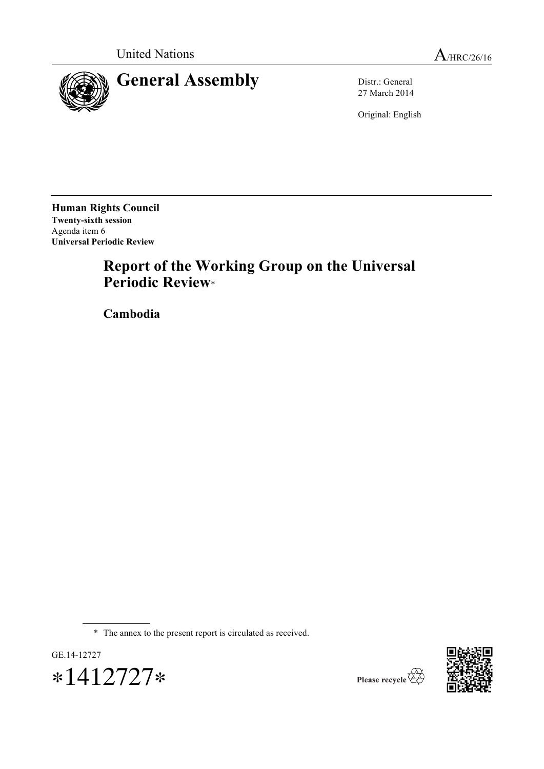

27 March 2014

Original: English

**Human Rights Council Twenty-sixth session** Agenda item 6 **Universal Periodic Review**

# **Report of the Working Group on the Universal Periodic Review**\*

**Cambodia**

\* The annex to the present report is circulated as received.



∗1412727∗

GE.14-12727

Please recycle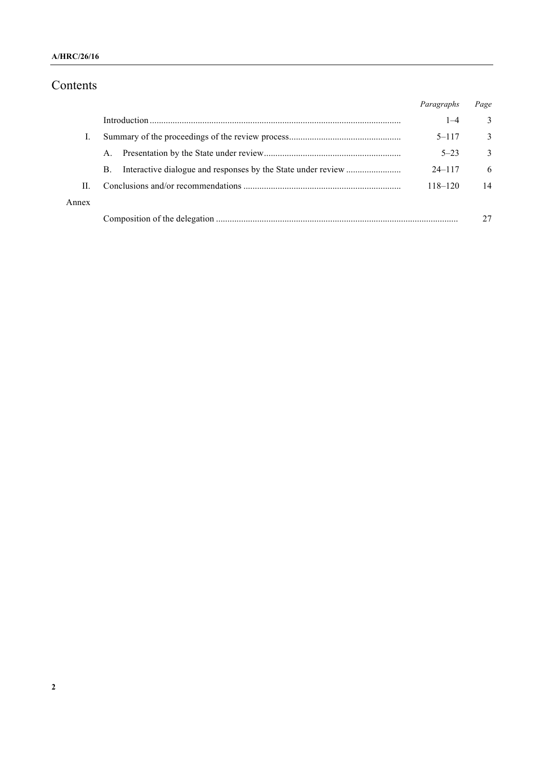### **A/HRC/26/16**

# Contents

|       |             | Paragraphs  | Page |
|-------|-------------|-------------|------|
|       |             | $1 - 4$     | 3    |
|       |             | $5 - 117$   | 3    |
|       | $A_{\cdot}$ | $5 - 23$    | 3    |
|       | <b>B.</b>   | $24 - 117$  | 6    |
| H.    |             | $118 - 120$ | 14   |
| Annex |             |             |      |
|       |             |             |      |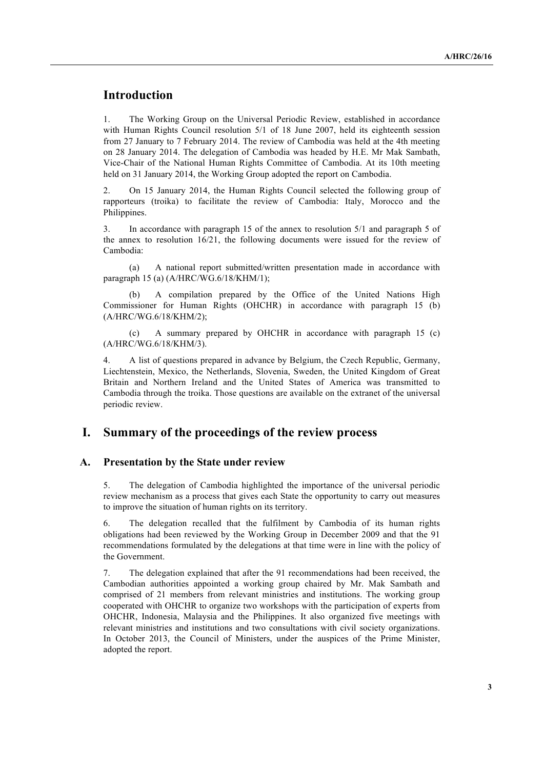# **Introduction**

1. The Working Group on the Universal Periodic Review, established in accordance with Human Rights Council resolution 5/1 of 18 June 2007, held its eighteenth session from 27 January to 7 February 2014. The review of Cambodia was held at the 4th meeting on 28 January 2014. The delegation of Cambodia was headed by H.E. Mr Mak Sambath, Vice-Chair of the National Human Rights Committee of Cambodia. At its 10th meeting held on 31 January 2014, the Working Group adopted the report on Cambodia.

2. On 15 January 2014, the Human Rights Council selected the following group of rapporteurs (troika) to facilitate the review of Cambodia: Italy, Morocco and the Philippines.

3. In accordance with paragraph 15 of the annex to resolution 5/1 and paragraph 5 of the annex to resolution 16/21, the following documents were issued for the review of Cambodia:

(a) A national report submitted/written presentation made in accordance with paragraph 15 (a) (A/HRC/WG.6/18/KHM/1);

A compilation prepared by the Office of the United Nations High Commissioner for Human Rights (OHCHR) in accordance with paragraph 15 (b) (A/HRC/WG.6/18/KHM/2);

(c) A summary prepared by OHCHR in accordance with paragraph 15 (c) (A/HRC/WG.6/18/KHM/3).

4. A list of questions prepared in advance by Belgium, the Czech Republic, Germany, Liechtenstein, Mexico, the Netherlands, Slovenia, Sweden, the United Kingdom of Great Britain and Northern Ireland and the United States of America was transmitted to Cambodia through the troika. Those questions are available on the extranet of the universal periodic review.

## **I. Summary of the proceedings of the review process**

#### **A. Presentation by the State under review**

5. The delegation of Cambodia highlighted the importance of the universal periodic review mechanism as a process that gives each State the opportunity to carry out measures to improve the situation of human rights on its territory.

6. The delegation recalled that the fulfilment by Cambodia of its human rights obligations had been reviewed by the Working Group in December 2009 and that the 91 recommendations formulated by the delegations at that time were in line with the policy of the Government.

7. The delegation explained that after the 91 recommendations had been received, the Cambodian authorities appointed a working group chaired by Mr. Mak Sambath and comprised of 21 members from relevant ministries and institutions. The working group cooperated with OHCHR to organize two workshops with the participation of experts from OHCHR, Indonesia, Malaysia and the Philippines. It also organized five meetings with relevant ministries and institutions and two consultations with civil society organizations. In October 2013, the Council of Ministers, under the auspices of the Prime Minister, adopted the report.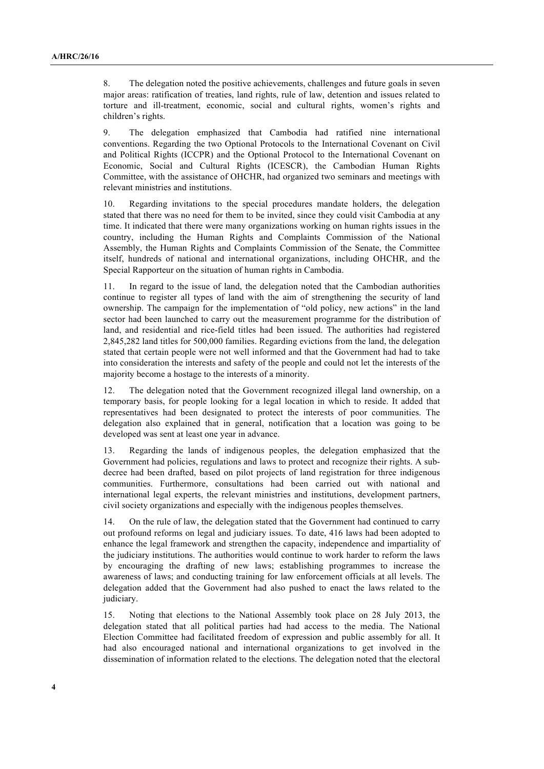8. The delegation noted the positive achievements, challenges and future goals in seven major areas: ratification of treaties, land rights, rule of law, detention and issues related to torture and ill-treatment, economic, social and cultural rights, women's rights and children's rights.

9. The delegation emphasized that Cambodia had ratified nine international conventions. Regarding the two Optional Protocols to the International Covenant on Civil and Political Rights (ICCPR) and the Optional Protocol to the International Covenant on Economic, Social and Cultural Rights (ICESCR), the Cambodian Human Rights Committee, with the assistance of OHCHR, had organized two seminars and meetings with relevant ministries and institutions.

10. Regarding invitations to the special procedures mandate holders, the delegation stated that there was no need for them to be invited, since they could visit Cambodia at any time. It indicated that there were many organizations working on human rights issues in the country, including the Human Rights and Complaints Commission of the National Assembly, the Human Rights and Complaints Commission of the Senate, the Committee itself, hundreds of national and international organizations, including OHCHR, and the Special Rapporteur on the situation of human rights in Cambodia.

11. In regard to the issue of land, the delegation noted that the Cambodian authorities continue to register all types of land with the aim of strengthening the security of land ownership. The campaign for the implementation of "old policy, new actions" in the land sector had been launched to carry out the measurement programme for the distribution of land, and residential and rice-field titles had been issued. The authorities had registered 2,845,282 land titles for 500,000 families. Regarding evictions from the land, the delegation stated that certain people were not well informed and that the Government had had to take into consideration the interests and safety of the people and could not let the interests of the majority become a hostage to the interests of a minority.

12. The delegation noted that the Government recognized illegal land ownership, on a temporary basis, for people looking for a legal location in which to reside. It added that representatives had been designated to protect the interests of poor communities. The delegation also explained that in general, notification that a location was going to be developed was sent at least one year in advance.

13. Regarding the lands of indigenous peoples, the delegation emphasized that the Government had policies, regulations and laws to protect and recognize their rights. A subdecree had been drafted, based on pilot projects of land registration for three indigenous communities. Furthermore, consultations had been carried out with national and international legal experts, the relevant ministries and institutions, development partners, civil society organizations and especially with the indigenous peoples themselves.

14. On the rule of law, the delegation stated that the Government had continued to carry out profound reforms on legal and judiciary issues. To date, 416 laws had been adopted to enhance the legal framework and strengthen the capacity, independence and impartiality of the judiciary institutions. The authorities would continue to work harder to reform the laws by encouraging the drafting of new laws; establishing programmes to increase the awareness of laws; and conducting training for law enforcement officials at all levels. The delegation added that the Government had also pushed to enact the laws related to the judiciary.

15. Noting that elections to the National Assembly took place on 28 July 2013, the delegation stated that all political parties had had access to the media. The National Election Committee had facilitated freedom of expression and public assembly for all. It had also encouraged national and international organizations to get involved in the dissemination of information related to the elections. The delegation noted that the electoral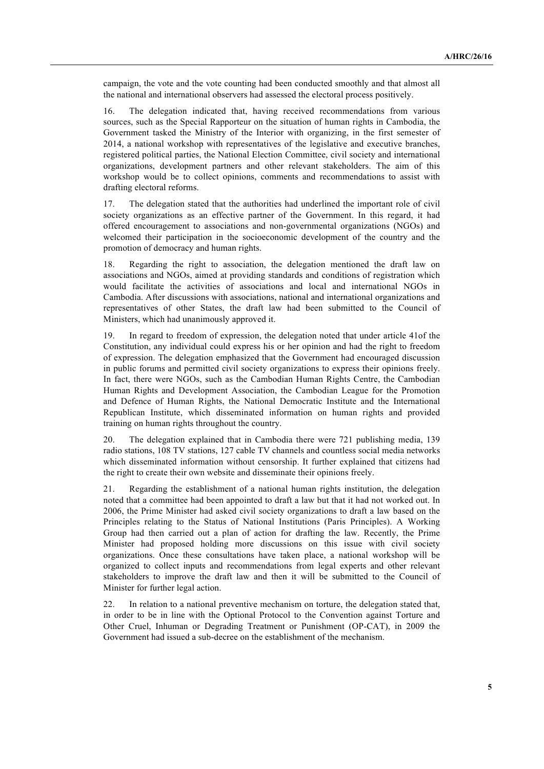campaign, the vote and the vote counting had been conducted smoothly and that almost all the national and international observers had assessed the electoral process positively.

16. The delegation indicated that, having received recommendations from various sources, such as the Special Rapporteur on the situation of human rights in Cambodia, the Government tasked the Ministry of the Interior with organizing, in the first semester of 2014, a national workshop with representatives of the legislative and executive branches, registered political parties, the National Election Committee, civil society and international organizations, development partners and other relevant stakeholders. The aim of this workshop would be to collect opinions, comments and recommendations to assist with drafting electoral reforms.

17. The delegation stated that the authorities had underlined the important role of civil society organizations as an effective partner of the Government. In this regard, it had offered encouragement to associations and non-governmental organizations (NGOs) and welcomed their participation in the socioeconomic development of the country and the promotion of democracy and human rights.

Regarding the right to association, the delegation mentioned the draft law on associations and NGOs, aimed at providing standards and conditions of registration which would facilitate the activities of associations and local and international NGOs in Cambodia. After discussions with associations, national and international organizations and representatives of other States, the draft law had been submitted to the Council of Ministers, which had unanimously approved it.

19. In regard to freedom of expression, the delegation noted that under article 41of the Constitution, any individual could express his or her opinion and had the right to freedom of expression. The delegation emphasized that the Government had encouraged discussion in public forums and permitted civil society organizations to express their opinions freely. In fact, there were NGOs, such as the Cambodian Human Rights Centre, the Cambodian Human Rights and Development Association, the Cambodian League for the Promotion and Defence of Human Rights, the National Democratic Institute and the International Republican Institute, which disseminated information on human rights and provided training on human rights throughout the country.

20. The delegation explained that in Cambodia there were 721 publishing media, 139 radio stations, 108 TV stations, 127 cable TV channels and countless social media networks which disseminated information without censorship. It further explained that citizens had the right to create their own website and disseminate their opinions freely.

21. Regarding the establishment of a national human rights institution, the delegation noted that a committee had been appointed to draft a law but that it had not worked out. In 2006, the Prime Minister had asked civil society organizations to draft a law based on the Principles relating to the Status of National Institutions (Paris Principles). A Working Group had then carried out a plan of action for drafting the law. Recently, the Prime Minister had proposed holding more discussions on this issue with civil society organizations. Once these consultations have taken place, a national workshop will be organized to collect inputs and recommendations from legal experts and other relevant stakeholders to improve the draft law and then it will be submitted to the Council of Minister for further legal action.

22. In relation to a national preventive mechanism on torture, the delegation stated that, in order to be in line with the Optional Protocol to the Convention against Torture and Other Cruel, Inhuman or Degrading Treatment or Punishment (OP-CAT), in 2009 the Government had issued a sub-decree on the establishment of the mechanism.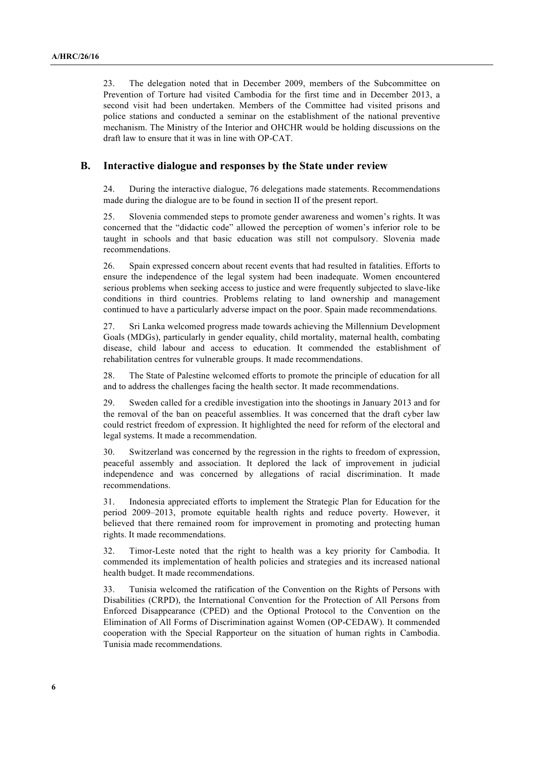23. The delegation noted that in December 2009, members of the Subcommittee on Prevention of Torture had visited Cambodia for the first time and in December 2013, a second visit had been undertaken. Members of the Committee had visited prisons and police stations and conducted a seminar on the establishment of the national preventive mechanism. The Ministry of the Interior and OHCHR would be holding discussions on the draft law to ensure that it was in line with OP-CAT.

#### **B. Interactive dialogue and responses by the State under review**

24. During the interactive dialogue, 76 delegations made statements. Recommendations made during the dialogue are to be found in section II of the present report.

25. Slovenia commended steps to promote gender awareness and women's rights. It was concerned that the "didactic code" allowed the perception of women's inferior role to be taught in schools and that basic education was still not compulsory. Slovenia made recommendations.

26. Spain expressed concern about recent events that had resulted in fatalities. Efforts to ensure the independence of the legal system had been inadequate. Women encountered serious problems when seeking access to justice and were frequently subjected to slave-like conditions in third countries. Problems relating to land ownership and management continued to have a particularly adverse impact on the poor. Spain made recommendations.

27. Sri Lanka welcomed progress made towards achieving the Millennium Development Goals (MDGs), particularly in gender equality, child mortality, maternal health, combating disease, child labour and access to education. It commended the establishment of rehabilitation centres for vulnerable groups. It made recommendations.

28. The State of Palestine welcomed efforts to promote the principle of education for all and to address the challenges facing the health sector. It made recommendations.

29. Sweden called for a credible investigation into the shootings in January 2013 and for the removal of the ban on peaceful assemblies. It was concerned that the draft cyber law could restrict freedom of expression. It highlighted the need for reform of the electoral and legal systems. It made a recommendation.

30. Switzerland was concerned by the regression in the rights to freedom of expression, peaceful assembly and association. It deplored the lack of improvement in judicial independence and was concerned by allegations of racial discrimination. It made recommendations.

31. Indonesia appreciated efforts to implement the Strategic Plan for Education for the period 2009–2013, promote equitable health rights and reduce poverty. However, it believed that there remained room for improvement in promoting and protecting human rights. It made recommendations.

32. Timor-Leste noted that the right to health was a key priority for Cambodia. It commended its implementation of health policies and strategies and its increased national health budget. It made recommendations.

33. Tunisia welcomed the ratification of the Convention on the Rights of Persons with Disabilities (CRPD), the International Convention for the Protection of All Persons from Enforced Disappearance (CPED) and the Optional Protocol to the Convention on the Elimination of All Forms of Discrimination against Women (OP-CEDAW). It commended cooperation with the Special Rapporteur on the situation of human rights in Cambodia. Tunisia made recommendations.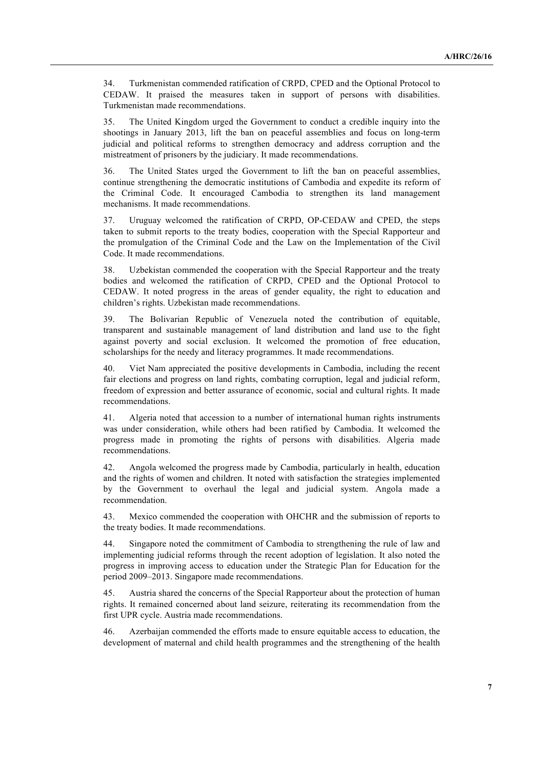34. Turkmenistan commended ratification of CRPD, CPED and the Optional Protocol to CEDAW. It praised the measures taken in support of persons with disabilities. Turkmenistan made recommendations.

35. The United Kingdom urged the Government to conduct a credible inquiry into the shootings in January 2013, lift the ban on peaceful assemblies and focus on long-term judicial and political reforms to strengthen democracy and address corruption and the mistreatment of prisoners by the judiciary. It made recommendations.

36. The United States urged the Government to lift the ban on peaceful assemblies, continue strengthening the democratic institutions of Cambodia and expedite its reform of the Criminal Code. It encouraged Cambodia to strengthen its land management mechanisms. It made recommendations.

37. Uruguay welcomed the ratification of CRPD, OP-CEDAW and CPED, the steps taken to submit reports to the treaty bodies, cooperation with the Special Rapporteur and the promulgation of the Criminal Code and the Law on the Implementation of the Civil Code. It made recommendations.

38. Uzbekistan commended the cooperation with the Special Rapporteur and the treaty bodies and welcomed the ratification of CRPD, CPED and the Optional Protocol to CEDAW. It noted progress in the areas of gender equality, the right to education and children's rights. Uzbekistan made recommendations.

39. The Bolivarian Republic of Venezuela noted the contribution of equitable, transparent and sustainable management of land distribution and land use to the fight against poverty and social exclusion. It welcomed the promotion of free education, scholarships for the needy and literacy programmes. It made recommendations.

40. Viet Nam appreciated the positive developments in Cambodia, including the recent fair elections and progress on land rights, combating corruption, legal and judicial reform, freedom of expression and better assurance of economic, social and cultural rights. It made recommendations.

41. Algeria noted that accession to a number of international human rights instruments was under consideration, while others had been ratified by Cambodia. It welcomed the progress made in promoting the rights of persons with disabilities. Algeria made recommendations.

42. Angola welcomed the progress made by Cambodia, particularly in health, education and the rights of women and children. It noted with satisfaction the strategies implemented by the Government to overhaul the legal and judicial system. Angola made a recommendation.

43. Mexico commended the cooperation with OHCHR and the submission of reports to the treaty bodies. It made recommendations.

44. Singapore noted the commitment of Cambodia to strengthening the rule of law and implementing judicial reforms through the recent adoption of legislation. It also noted the progress in improving access to education under the Strategic Plan for Education for the period 2009–2013. Singapore made recommendations.

45. Austria shared the concerns of the Special Rapporteur about the protection of human rights. It remained concerned about land seizure, reiterating its recommendation from the first UPR cycle. Austria made recommendations.

46. Azerbaijan commended the efforts made to ensure equitable access to education, the development of maternal and child health programmes and the strengthening of the health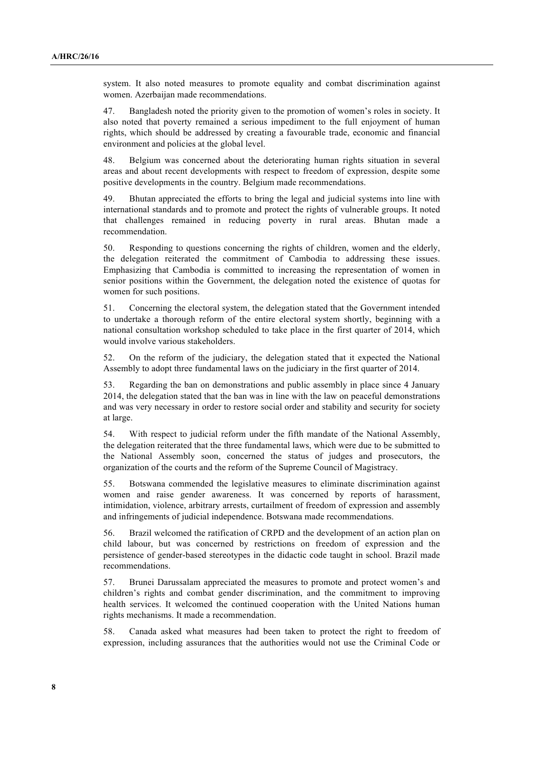system. It also noted measures to promote equality and combat discrimination against women. Azerbaijan made recommendations.

47. Bangladesh noted the priority given to the promotion of women's roles in society. It also noted that poverty remained a serious impediment to the full enjoyment of human rights, which should be addressed by creating a favourable trade, economic and financial environment and policies at the global level.

48. Belgium was concerned about the deteriorating human rights situation in several areas and about recent developments with respect to freedom of expression, despite some positive developments in the country. Belgium made recommendations.

49. Bhutan appreciated the efforts to bring the legal and judicial systems into line with international standards and to promote and protect the rights of vulnerable groups. It noted that challenges remained in reducing poverty in rural areas. Bhutan made a recommendation.

50. Responding to questions concerning the rights of children, women and the elderly, the delegation reiterated the commitment of Cambodia to addressing these issues. Emphasizing that Cambodia is committed to increasing the representation of women in senior positions within the Government, the delegation noted the existence of quotas for women for such positions.

51. Concerning the electoral system, the delegation stated that the Government intended to undertake a thorough reform of the entire electoral system shortly, beginning with a national consultation workshop scheduled to take place in the first quarter of 2014, which would involve various stakeholders.

52. On the reform of the judiciary, the delegation stated that it expected the National Assembly to adopt three fundamental laws on the judiciary in the first quarter of 2014.

53. Regarding the ban on demonstrations and public assembly in place since 4 January 2014, the delegation stated that the ban was in line with the law on peaceful demonstrations and was very necessary in order to restore social order and stability and security for society at large.

54. With respect to judicial reform under the fifth mandate of the National Assembly, the delegation reiterated that the three fundamental laws, which were due to be submitted to the National Assembly soon, concerned the status of judges and prosecutors, the organization of the courts and the reform of the Supreme Council of Magistracy.

55. Botswana commended the legislative measures to eliminate discrimination against women and raise gender awareness. It was concerned by reports of harassment, intimidation, violence, arbitrary arrests, curtailment of freedom of expression and assembly and infringements of judicial independence. Botswana made recommendations.

56. Brazil welcomed the ratification of CRPD and the development of an action plan on child labour, but was concerned by restrictions on freedom of expression and the persistence of gender-based stereotypes in the didactic code taught in school. Brazil made recommendations.

57. Brunei Darussalam appreciated the measures to promote and protect women's and children's rights and combat gender discrimination, and the commitment to improving health services. It welcomed the continued cooperation with the United Nations human rights mechanisms. It made a recommendation.

58. Canada asked what measures had been taken to protect the right to freedom of expression, including assurances that the authorities would not use the Criminal Code or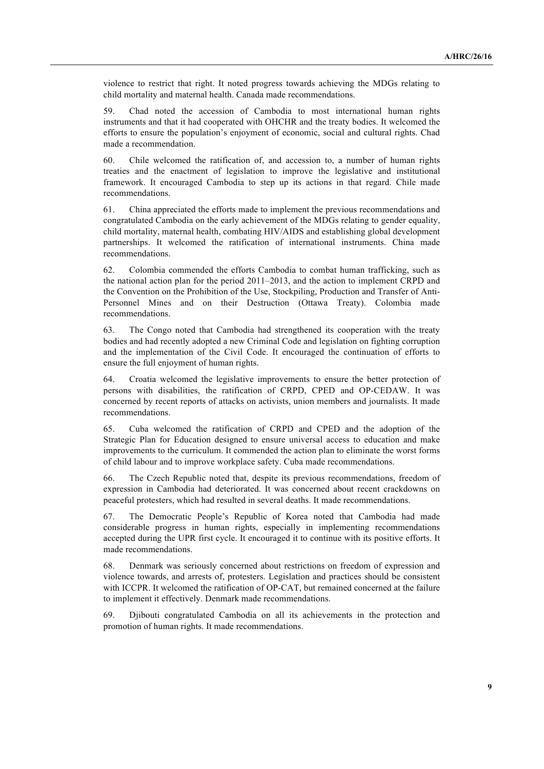violence to restrict that right. It noted progress towards achieving the MDGs relating to child mortality and maternal health. Canada made recommendations.

59. Chad noted the accession of Cambodia to most international human rights instruments and that it had cooperated with OHCHR and the treaty bodies. It welcomed the efforts to ensure the population's enjoyment of economic, social and cultural rights. Chad made a recommendation.

60. Chile welcomed the ratification of, and accession to, a number of human rights treaties and the enactment of legislation to improve the legislative and institutional framework. It encouraged Cambodia to step up its actions in that regard. Chile made recommendations.

61. China appreciated the efforts made to implement the previous recommendations and congratulated Cambodia on the early achievement of the MDGs relating to gender equality, child mortality, maternal health, combating HIV/AIDS and establishing global development partnerships. It welcomed the ratification of international instruments. China made recommendations.

62. Colombia commended the efforts Cambodia to combat human trafficking, such as the national action plan for the period 2011–2013, and the action to implement CRPD and the Convention on the Prohibition of the Use, Stockpiling, Production and Transfer of Anti-Personnel Mines and on their Destruction (Ottawa Treaty). Colombia made recommendations.

63. The Congo noted that Cambodia had strengthened its cooperation with the treaty bodies and had recently adopted a new Criminal Code and legislation on fighting corruption and the implementation of the Civil Code. It encouraged the continuation of efforts to ensure the full enjoyment of human rights.

64. Croatia welcomed the legislative improvements to ensure the better protection of persons with disabilities, the ratification of CRPD, CPED and OP-CEDAW. It was concerned by recent reports of attacks on activists, union members and journalists. It made recommendations.

65. Cuba welcomed the ratification of CRPD and CPED and the adoption of the Strategic Plan for Education designed to ensure universal access to education and make improvements to the curriculum. It commended the action plan to eliminate the worst forms of child labour and to improve workplace safety. Cuba made recommendations.

66. The Czech Republic noted that, despite its previous recommendations, freedom of expression in Cambodia had deteriorated. It was concerned about recent crackdowns on peaceful protesters, which had resulted in several deaths. It made recommendations.

67. The Democratic People's Republic of Korea noted that Cambodia had made considerable progress in human rights, especially in implementing recommendations accepted during the UPR first cycle. It encouraged it to continue with its positive efforts. It made recommendations.

68. Denmark was seriously concerned about restrictions on freedom of expression and violence towards, and arrests of, protesters. Legislation and practices should be consistent with ICCPR. It welcomed the ratification of OP-CAT, but remained concerned at the failure to implement it effectively. Denmark made recommendations.

69. Djibouti congratulated Cambodia on all its achievements in the protection and promotion of human rights. It made recommendations.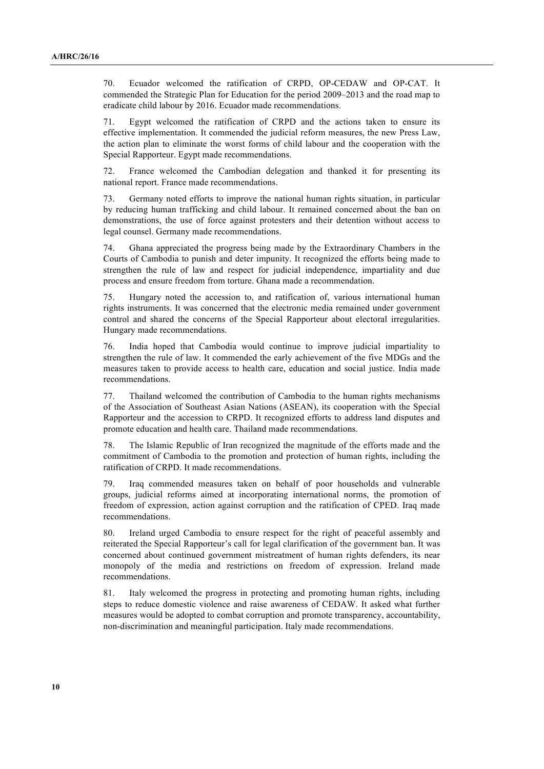70. Ecuador welcomed the ratification of CRPD, OP-CEDAW and OP-CAT. It commended the Strategic Plan for Education for the period 2009–2013 and the road map to eradicate child labour by 2016. Ecuador made recommendations.

71. Egypt welcomed the ratification of CRPD and the actions taken to ensure its effective implementation. It commended the judicial reform measures, the new Press Law, the action plan to eliminate the worst forms of child labour and the cooperation with the Special Rapporteur. Egypt made recommendations.

72. France welcomed the Cambodian delegation and thanked it for presenting its national report. France made recommendations.

73. Germany noted efforts to improve the national human rights situation, in particular by reducing human trafficking and child labour. It remained concerned about the ban on demonstrations, the use of force against protesters and their detention without access to legal counsel. Germany made recommendations.

74. Ghana appreciated the progress being made by the Extraordinary Chambers in the Courts of Cambodia to punish and deter impunity. It recognized the efforts being made to strengthen the rule of law and respect for judicial independence, impartiality and due process and ensure freedom from torture. Ghana made a recommendation.

75. Hungary noted the accession to, and ratification of, various international human rights instruments. It was concerned that the electronic media remained under government control and shared the concerns of the Special Rapporteur about electoral irregularities. Hungary made recommendations.

76. India hoped that Cambodia would continue to improve judicial impartiality to strengthen the rule of law. It commended the early achievement of the five MDGs and the measures taken to provide access to health care, education and social justice. India made recommendations.

77. Thailand welcomed the contribution of Cambodia to the human rights mechanisms of the Association of Southeast Asian Nations (ASEAN), its cooperation with the Special Rapporteur and the accession to CRPD. It recognized efforts to address land disputes and promote education and health care. Thailand made recommendations.

78. The Islamic Republic of Iran recognized the magnitude of the efforts made and the commitment of Cambodia to the promotion and protection of human rights, including the ratification of CRPD. It made recommendations.

79. Iraq commended measures taken on behalf of poor households and vulnerable groups, judicial reforms aimed at incorporating international norms, the promotion of freedom of expression, action against corruption and the ratification of CPED. Iraq made recommendations.

80. Ireland urged Cambodia to ensure respect for the right of peaceful assembly and reiterated the Special Rapporteur's call for legal clarification of the government ban. It was concerned about continued government mistreatment of human rights defenders, its near monopoly of the media and restrictions on freedom of expression. Ireland made recommendations.

81. Italy welcomed the progress in protecting and promoting human rights, including steps to reduce domestic violence and raise awareness of CEDAW. It asked what further measures would be adopted to combat corruption and promote transparency, accountability, non-discrimination and meaningful participation. Italy made recommendations.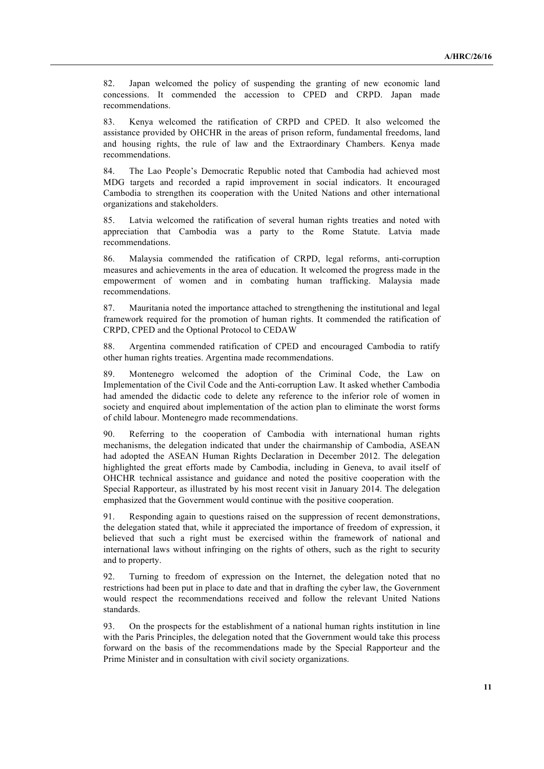82. Japan welcomed the policy of suspending the granting of new economic land concessions. It commended the accession to CPED and CRPD. Japan made recommendations.

83. Kenya welcomed the ratification of CRPD and CPED. It also welcomed the assistance provided by OHCHR in the areas of prison reform, fundamental freedoms, land and housing rights, the rule of law and the Extraordinary Chambers. Kenya made recommendations.

84. The Lao People's Democratic Republic noted that Cambodia had achieved most MDG targets and recorded a rapid improvement in social indicators. It encouraged Cambodia to strengthen its cooperation with the United Nations and other international organizations and stakeholders.

85. Latvia welcomed the ratification of several human rights treaties and noted with appreciation that Cambodia was a party to the Rome Statute. Latvia made recommendations.

86. Malaysia commended the ratification of CRPD, legal reforms, anti-corruption measures and achievements in the area of education. It welcomed the progress made in the empowerment of women and in combating human trafficking. Malaysia made recommendations.

87. Mauritania noted the importance attached to strengthening the institutional and legal framework required for the promotion of human rights. It commended the ratification of CRPD, CPED and the Optional Protocol to CEDAW

88. Argentina commended ratification of CPED and encouraged Cambodia to ratify other human rights treaties. Argentina made recommendations.

89. Montenegro welcomed the adoption of the Criminal Code, the Law on Implementation of the Civil Code and the Anti-corruption Law. It asked whether Cambodia had amended the didactic code to delete any reference to the inferior role of women in society and enquired about implementation of the action plan to eliminate the worst forms of child labour. Montenegro made recommendations.

90. Referring to the cooperation of Cambodia with international human rights mechanisms, the delegation indicated that under the chairmanship of Cambodia, ASEAN had adopted the ASEAN Human Rights Declaration in December 2012. The delegation highlighted the great efforts made by Cambodia, including in Geneva, to avail itself of OHCHR technical assistance and guidance and noted the positive cooperation with the Special Rapporteur, as illustrated by his most recent visit in January 2014. The delegation emphasized that the Government would continue with the positive cooperation.

91. Responding again to questions raised on the suppression of recent demonstrations, the delegation stated that, while it appreciated the importance of freedom of expression, it believed that such a right must be exercised within the framework of national and international laws without infringing on the rights of others, such as the right to security and to property.

92. Turning to freedom of expression on the Internet, the delegation noted that no restrictions had been put in place to date and that in drafting the cyber law, the Government would respect the recommendations received and follow the relevant United Nations standards.

93. On the prospects for the establishment of a national human rights institution in line with the Paris Principles, the delegation noted that the Government would take this process forward on the basis of the recommendations made by the Special Rapporteur and the Prime Minister and in consultation with civil society organizations.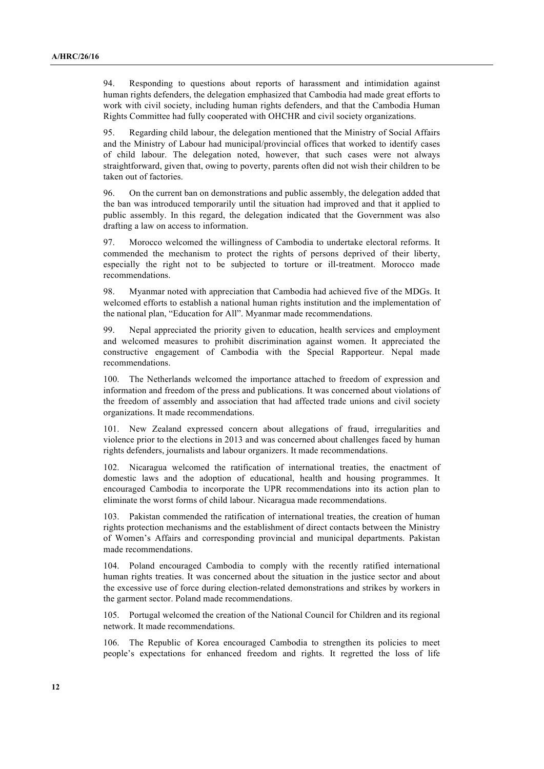94. Responding to questions about reports of harassment and intimidation against human rights defenders, the delegation emphasized that Cambodia had made great efforts to work with civil society, including human rights defenders, and that the Cambodia Human Rights Committee had fully cooperated with OHCHR and civil society organizations.

95. Regarding child labour, the delegation mentioned that the Ministry of Social Affairs and the Ministry of Labour had municipal/provincial offices that worked to identify cases of child labour. The delegation noted, however, that such cases were not always straightforward, given that, owing to poverty, parents often did not wish their children to be taken out of factories.

96. On the current ban on demonstrations and public assembly, the delegation added that the ban was introduced temporarily until the situation had improved and that it applied to public assembly. In this regard, the delegation indicated that the Government was also drafting a law on access to information.

97. Morocco welcomed the willingness of Cambodia to undertake electoral reforms. It commended the mechanism to protect the rights of persons deprived of their liberty, especially the right not to be subjected to torture or ill-treatment. Morocco made recommendations.

98. Myanmar noted with appreciation that Cambodia had achieved five of the MDGs. It welcomed efforts to establish a national human rights institution and the implementation of the national plan, "Education for All". Myanmar made recommendations.

99. Nepal appreciated the priority given to education, health services and employment and welcomed measures to prohibit discrimination against women. It appreciated the constructive engagement of Cambodia with the Special Rapporteur. Nepal made recommendations.

100. The Netherlands welcomed the importance attached to freedom of expression and information and freedom of the press and publications. It was concerned about violations of the freedom of assembly and association that had affected trade unions and civil society organizations. It made recommendations.

101. New Zealand expressed concern about allegations of fraud, irregularities and violence prior to the elections in 2013 and was concerned about challenges faced by human rights defenders, journalists and labour organizers. It made recommendations.

102. Nicaragua welcomed the ratification of international treaties, the enactment of domestic laws and the adoption of educational, health and housing programmes. It encouraged Cambodia to incorporate the UPR recommendations into its action plan to eliminate the worst forms of child labour. Nicaragua made recommendations.

103. Pakistan commended the ratification of international treaties, the creation of human rights protection mechanisms and the establishment of direct contacts between the Ministry of Women's Affairs and corresponding provincial and municipal departments. Pakistan made recommendations.

104. Poland encouraged Cambodia to comply with the recently ratified international human rights treaties. It was concerned about the situation in the justice sector and about the excessive use of force during election-related demonstrations and strikes by workers in the garment sector. Poland made recommendations.

105. Portugal welcomed the creation of the National Council for Children and its regional network. It made recommendations.

106. The Republic of Korea encouraged Cambodia to strengthen its policies to meet people's expectations for enhanced freedom and rights. It regretted the loss of life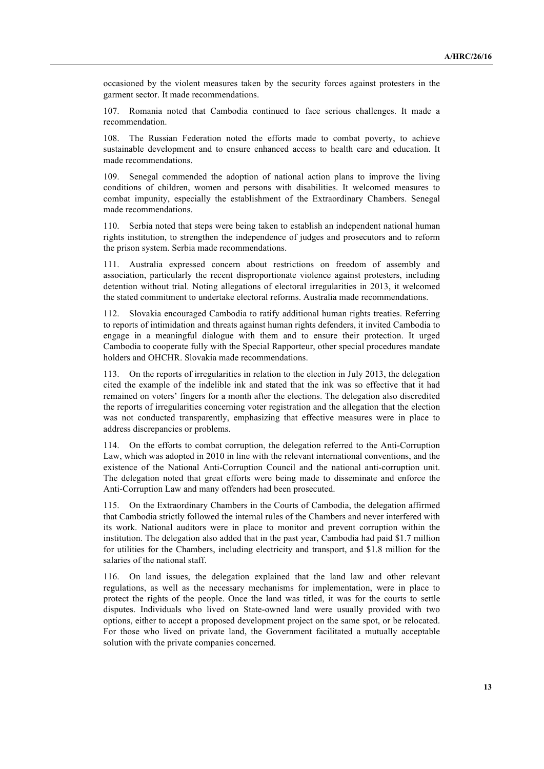occasioned by the violent measures taken by the security forces against protesters in the garment sector. It made recommendations.

107. Romania noted that Cambodia continued to face serious challenges. It made a recommendation.

108. The Russian Federation noted the efforts made to combat poverty, to achieve sustainable development and to ensure enhanced access to health care and education. It made recommendations.

109. Senegal commended the adoption of national action plans to improve the living conditions of children, women and persons with disabilities. It welcomed measures to combat impunity, especially the establishment of the Extraordinary Chambers. Senegal made recommendations.

110. Serbia noted that steps were being taken to establish an independent national human rights institution, to strengthen the independence of judges and prosecutors and to reform the prison system. Serbia made recommendations.

111. Australia expressed concern about restrictions on freedom of assembly and association, particularly the recent disproportionate violence against protesters, including detention without trial. Noting allegations of electoral irregularities in 2013, it welcomed the stated commitment to undertake electoral reforms. Australia made recommendations.

112. Slovakia encouraged Cambodia to ratify additional human rights treaties. Referring to reports of intimidation and threats against human rights defenders, it invited Cambodia to engage in a meaningful dialogue with them and to ensure their protection. It urged Cambodia to cooperate fully with the Special Rapporteur, other special procedures mandate holders and OHCHR. Slovakia made recommendations.

113. On the reports of irregularities in relation to the election in July 2013, the delegation cited the example of the indelible ink and stated that the ink was so effective that it had remained on voters' fingers for a month after the elections. The delegation also discredited the reports of irregularities concerning voter registration and the allegation that the election was not conducted transparently, emphasizing that effective measures were in place to address discrepancies or problems.

114. On the efforts to combat corruption, the delegation referred to the Anti-Corruption Law, which was adopted in 2010 in line with the relevant international conventions, and the existence of the National Anti-Corruption Council and the national anti-corruption unit. The delegation noted that great efforts were being made to disseminate and enforce the Anti-Corruption Law and many offenders had been prosecuted.

115. On the Extraordinary Chambers in the Courts of Cambodia, the delegation affirmed that Cambodia strictly followed the internal rules of the Chambers and never interfered with its work. National auditors were in place to monitor and prevent corruption within the institution. The delegation also added that in the past year, Cambodia had paid \$1.7 million for utilities for the Chambers, including electricity and transport, and \$1.8 million for the salaries of the national staff.

116. On land issues, the delegation explained that the land law and other relevant regulations, as well as the necessary mechanisms for implementation, were in place to protect the rights of the people. Once the land was titled, it was for the courts to settle disputes. Individuals who lived on State-owned land were usually provided with two options, either to accept a proposed development project on the same spot, or be relocated. For those who lived on private land, the Government facilitated a mutually acceptable solution with the private companies concerned.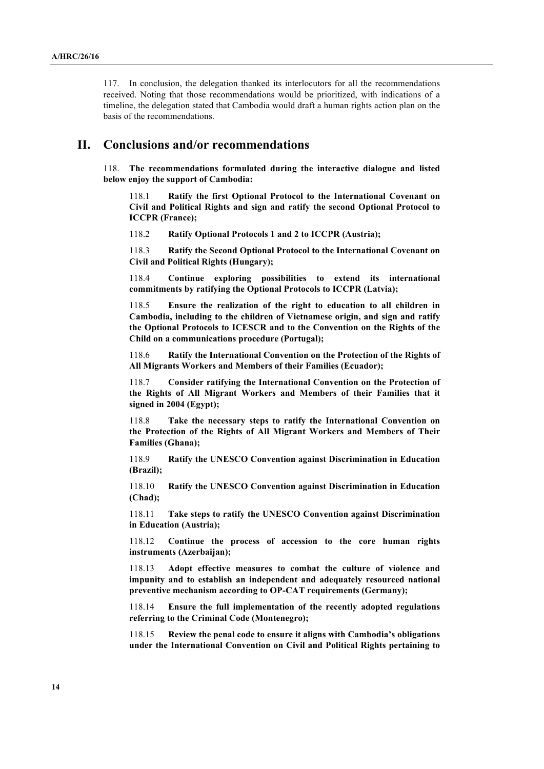117. In conclusion, the delegation thanked its interlocutors for all the recommendations received. Noting that those recommendations would be prioritized, with indications of a timeline, the delegation stated that Cambodia would draft a human rights action plan on the basis of the recommendations.

### **II. Conclusions and/or recommendations**

118. **The recommendations formulated during the interactive dialogue and listed below enjoy the support of Cambodia:**

118.1 **Ratify the first Optional Protocol to the International Covenant on Civil and Political Rights and sign and ratify the second Optional Protocol to ICCPR (France);**

118.2 **Ratify Optional Protocols 1 and 2 to ICCPR (Austria);**

118.3 **Ratify the Second Optional Protocol to the International Covenant on Civil and Political Rights (Hungary);**

118.4 **Continue exploring possibilities to extend its international commitments by ratifying the Optional Protocols to ICCPR (Latvia);**

118.5 **Ensure the realization of the right to education to all children in Cambodia, including to the children of Vietnamese origin, and sign and ratify the Optional Protocols to ICESCR and to the Convention on the Rights of the Child on a communications procedure (Portugal);**

118.6 **Ratify the International Convention on the Protection of the Rights of All Migrants Workers and Members of their Families (Ecuador);**

118.7 **Consider ratifying the International Convention on the Protection of the Rights of All Migrant Workers and Members of their Families that it signed in 2004 (Egypt);**

118.8 **Take the necessary steps to ratify the International Convention on the Protection of the Rights of All Migrant Workers and Members of Their Families (Ghana);**

118.9 **Ratify the UNESCO Convention against Discrimination in Education (Brazil);**

118.10 **Ratify the UNESCO Convention against Discrimination in Education (Chad);**

118.11 **Take steps to ratify the UNESCO Convention against Discrimination in Education (Austria);**

118.12 **Continue the process of accession to the core human rights instruments (Azerbaijan);**

118.13 **Adopt effective measures to combat the culture of violence and impunity and to establish an independent and adequately resourced national preventive mechanism according to OP-CAT requirements (Germany);**

118.14 **Ensure the full implementation of the recently adopted regulations referring to the Criminal Code (Montenegro);**

118.15 **Review the penal code to ensure it aligns with Cambodia's obligations under the International Convention on Civil and Political Rights pertaining to**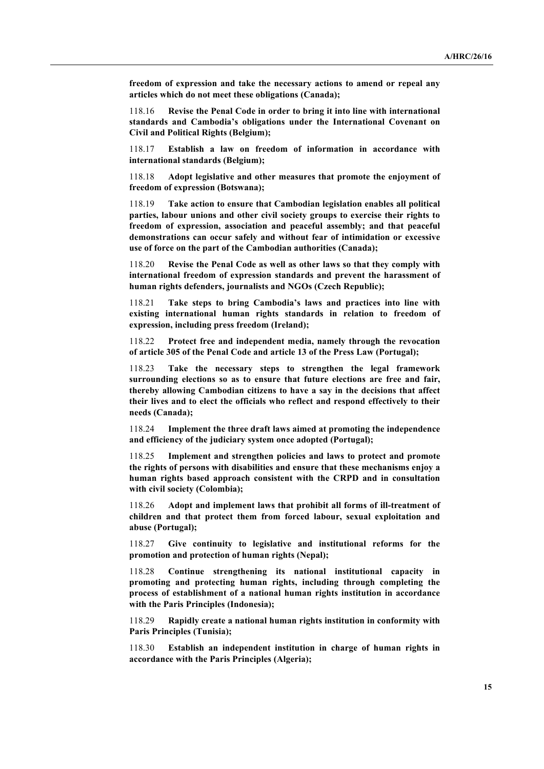**freedom of expression and take the necessary actions to amend or repeal any articles which do not meet these obligations (Canada);**

118.16 **Revise the Penal Code in order to bring it into line with international standards and Cambodia's obligations under the International Covenant on Civil and Political Rights (Belgium);**

118.17 **Establish a law on freedom of information in accordance with international standards (Belgium);**

118.18 **Adopt legislative and other measures that promote the enjoyment of freedom of expression (Botswana);**

118.19 **Take action to ensure that Cambodian legislation enables all political parties, labour unions and other civil society groups to exercise their rights to freedom of expression, association and peaceful assembly; and that peaceful demonstrations can occur safely and without fear of intimidation or excessive use of force on the part of the Cambodian authorities (Canada);**

118.20 **Revise the Penal Code as well as other laws so that they comply with international freedom of expression standards and prevent the harassment of human rights defenders, journalists and NGOs (Czech Republic);**

118.21 **Take steps to bring Cambodia's laws and practices into line with existing international human rights standards in relation to freedom of expression, including press freedom (Ireland);**

118.22 **Protect free and independent media, namely through the revocation of article 305 of the Penal Code and article 13 of the Press Law (Portugal);**

118.23 **Take the necessary steps to strengthen the legal framework surrounding elections so as to ensure that future elections are free and fair, thereby allowing Cambodian citizens to have a say in the decisions that affect their lives and to elect the officials who reflect and respond effectively to their needs (Canada);**

118.24 **Implement the three draft laws aimed at promoting the independence and efficiency of the judiciary system once adopted (Portugal);**

118.25 **Implement and strengthen policies and laws to protect and promote the rights of persons with disabilities and ensure that these mechanisms enjoy a human rights based approach consistent with the CRPD and in consultation with civil society (Colombia);**

118.26 **Adopt and implement laws that prohibit all forms of ill-treatment of children and that protect them from forced labour, sexual exploitation and abuse (Portugal);**

118.27 **Give continuity to legislative and institutional reforms for the promotion and protection of human rights (Nepal);**

118.28 **Continue strengthening its national institutional capacity in promoting and protecting human rights, including through completing the process of establishment of a national human rights institution in accordance with the Paris Principles (Indonesia);**

118.29 **Rapidly create a national human rights institution in conformity with Paris Principles (Tunisia);**

118.30 **Establish an independent institution in charge of human rights in accordance with the Paris Principles (Algeria);**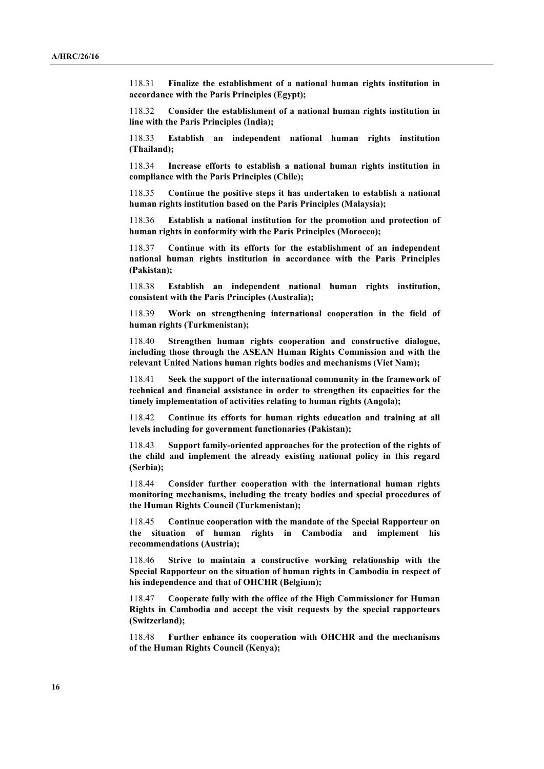118.31 **Finalize the establishment of a national human rights institution in accordance with the Paris Principles (Egypt);**

118.32 **Consider the establishment of a national human rights institution in line with the Paris Principles (India);**

118.33 **Establish an independent national human rights institution (Thailand);**

118.34 **Increase efforts to establish a national human rights institution in compliance with the Paris Principles (Chile);**

118.35 **Continue the positive steps it has undertaken to establish a national human rights institution based on the Paris Principles (Malaysia);**

118.36 **Establish a national institution for the promotion and protection of human rights in conformity with the Paris Principles (Morocco);**

118.37 **Continue with its efforts for the establishment of an independent national human rights institution in accordance with the Paris Principles (Pakistan);**

118.38 **Establish an independent national human rights institution, consistent with the Paris Principles (Australia);**

118.39 **Work on strengthening international cooperation in the field of human rights (Turkmenistan);**

118.40 **Strengthen human rights cooperation and constructive dialogue, including those through the ASEAN Human Rights Commission and with the relevant United Nations human rights bodies and mechanisms (Viet Nam);**

118.41 **Seek the support of the international community in the framework of technical and financial assistance in order to strengthen its capacities for the timely implementation of activities relating to human rights (Angola);**

118.42 **Continue its efforts for human rights education and training at all levels including for government functionaries (Pakistan);**

118.43 **Support family-oriented approaches for the protection of the rights of the child and implement the already existing national policy in this regard (Serbia);**

118.44 **Consider further cooperation with the international human rights monitoring mechanisms, including the treaty bodies and special procedures of the Human Rights Council (Turkmenistan);**

118.45 **Continue cooperation with the mandate of the Special Rapporteur on the situation of human rights in Cambodia and implement his recommendations (Austria);**

118.46 **Strive to maintain a constructive working relationship with the Special Rapporteur on the situation of human rights in Cambodia in respect of his independence and that of OHCHR (Belgium);**

118.47 **Cooperate fully with the office of the High Commissioner for Human Rights in Cambodia and accept the visit requests by the special rapporteurs (Switzerland);**

118.48 **Further enhance its cooperation with OHCHR and the mechanisms of the Human Rights Council (Kenya);**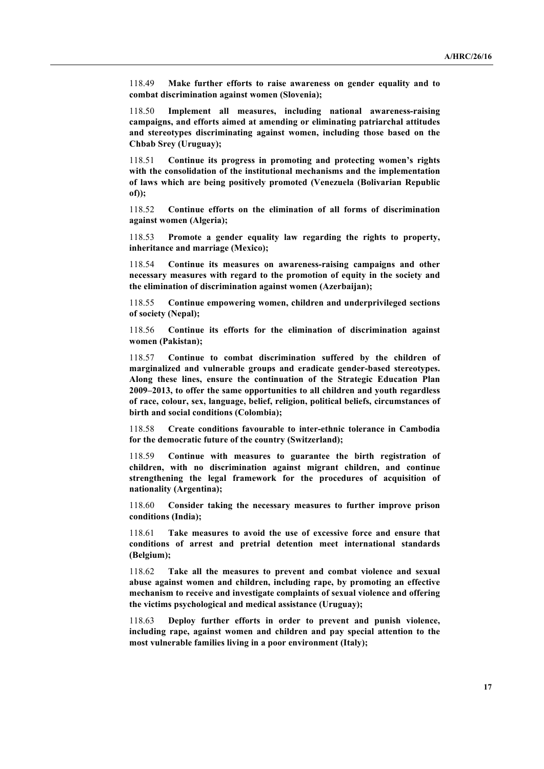118.49 **Make further efforts to raise awareness on gender equality and to combat discrimination against women (Slovenia);**

118.50 **Implement all measures, including national awareness-raising campaigns, and efforts aimed at amending or eliminating patriarchal attitudes and stereotypes discriminating against women, including those based on the Chbab Srey (Uruguay);**

118.51 **Continue its progress in promoting and protecting women's rights with the consolidation of the institutional mechanisms and the implementation of laws which are being positively promoted (Venezuela (Bolivarian Republic of));**

118.52 **Continue efforts on the elimination of all forms of discrimination against women (Algeria);**

118.53 **Promote a gender equality law regarding the rights to property, inheritance and marriage (Mexico);**

118.54 **Continue its measures on awareness-raising campaigns and other necessary measures with regard to the promotion of equity in the society and the elimination of discrimination against women (Azerbaijan);**

118.55 **Continue empowering women, children and underprivileged sections of society (Nepal);**

118.56 **Continue its efforts for the elimination of discrimination against women (Pakistan);**

118.57 **Continue to combat discrimination suffered by the children of marginalized and vulnerable groups and eradicate gender-based stereotypes. Along these lines, ensure the continuation of the Strategic Education Plan 2009–2013, to offer the same opportunities to all children and youth regardless of race, colour, sex, language, belief, religion, political beliefs, circumstances of birth and social conditions (Colombia);**

118.58 **Create conditions favourable to inter-ethnic tolerance in Cambodia for the democratic future of the country (Switzerland);**

118.59 **Continue with measures to guarantee the birth registration of children, with no discrimination against migrant children, and continue strengthening the legal framework for the procedures of acquisition of nationality (Argentina);** 

118.60 **Consider taking the necessary measures to further improve prison conditions (India);**

118.61 **Take measures to avoid the use of excessive force and ensure that conditions of arrest and pretrial detention meet international standards (Belgium);**

118.62 **Take all the measures to prevent and combat violence and sexual abuse against women and children, including rape, by promoting an effective mechanism to receive and investigate complaints of sexual violence and offering the victims psychological and medical assistance (Uruguay);** 

118.63 **Deploy further efforts in order to prevent and punish violence, including rape, against women and children and pay special attention to the most vulnerable families living in a poor environment (Italy);**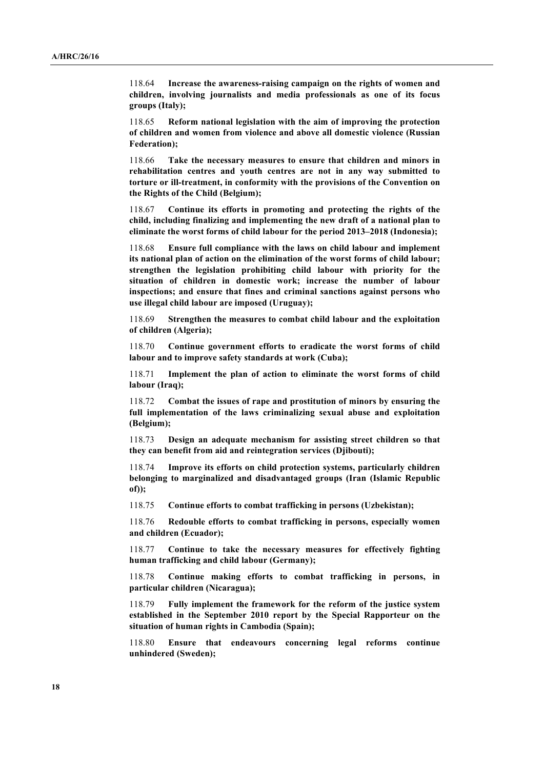118.64 **Increase the awareness-raising campaign on the rights of women and children, involving journalists and media professionals as one of its focus groups (Italy);**

118.65 **Reform national legislation with the aim of improving the protection of children and women from violence and above all domestic violence (Russian Federation);**

118.66 **Take the necessary measures to ensure that children and minors in rehabilitation centres and youth centres are not in any way submitted to torture or ill-treatment, in conformity with the provisions of the Convention on the Rights of the Child (Belgium);**

118.67 **Continue its efforts in promoting and protecting the rights of the child, including finalizing and implementing the new draft of a national plan to eliminate the worst forms of child labour for the period 2013–2018 (Indonesia);**

118.68 **Ensure full compliance with the laws on child labour and implement its national plan of action on the elimination of the worst forms of child labour; strengthen the legislation prohibiting child labour with priority for the situation of children in domestic work; increase the number of labour inspections; and ensure that fines and criminal sanctions against persons who use illegal child labour are imposed (Uruguay);** 

118.69 **Strengthen the measures to combat child labour and the exploitation of children (Algeria);**

118.70 **Continue government efforts to eradicate the worst forms of child labour and to improve safety standards at work (Cuba);**

118.71 **Implement the plan of action to eliminate the worst forms of child labour (Iraq);**

118.72 **Combat the issues of rape and prostitution of minors by ensuring the full implementation of the laws criminalizing sexual abuse and exploitation (Belgium);**

118.73 **Design an adequate mechanism for assisting street children so that they can benefit from aid and reintegration services (Djibouti);**

118.74 **Improve its efforts on child protection systems, particularly children belonging to marginalized and disadvantaged groups (Iran (Islamic Republic of));**

118.75 **Continue efforts to combat trafficking in persons (Uzbekistan);**

118.76 **Redouble efforts to combat trafficking in persons, especially women and children (Ecuador);**

118.77 **Continue to take the necessary measures for effectively fighting human trafficking and child labour (Germany);**

118.78 **Continue making efforts to combat trafficking in persons, in particular children (Nicaragua);**

118.79 **Fully implement the framework for the reform of the justice system established in the September 2010 report by the Special Rapporteur on the situation of human rights in Cambodia (Spain);**

118.80 **Ensure that endeavours concerning legal reforms continue unhindered (Sweden);**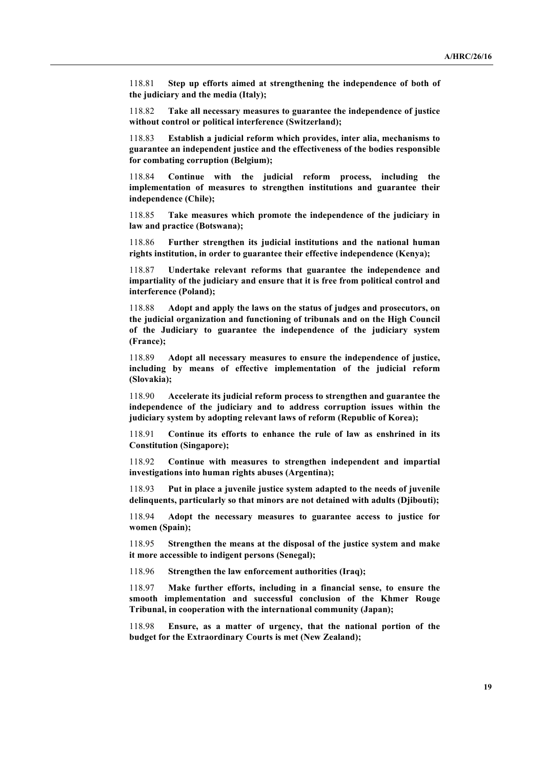118.81 **Step up efforts aimed at strengthening the independence of both of the judiciary and the media (Italy);**

118.82 **Take all necessary measures to guarantee the independence of justice without control or political interference (Switzerland);**

118.83 **Establish a judicial reform which provides, inter alia, mechanisms to guarantee an independent justice and the effectiveness of the bodies responsible for combating corruption (Belgium);**

118.84 **Continue with the judicial reform process, including the implementation of measures to strengthen institutions and guarantee their independence (Chile);**

118.85 **Take measures which promote the independence of the judiciary in law and practice (Botswana);**

118.86 **Further strengthen its judicial institutions and the national human rights institution, in order to guarantee their effective independence (Kenya);**

118.87 **Undertake relevant reforms that guarantee the independence and impartiality of the judiciary and ensure that it is free from political control and interference (Poland);**

118.88 **Adopt and apply the laws on the status of judges and prosecutors, on the judicial organization and functioning of tribunals and on the High Council of the Judiciary to guarantee the independence of the judiciary system (France);**

118.89 **Adopt all necessary measures to ensure the independence of justice, including by means of effective implementation of the judicial reform (Slovakia);**

118.90 **Accelerate its judicial reform process to strengthen and guarantee the independence of the judiciary and to address corruption issues within the judiciary system by adopting relevant laws of reform (Republic of Korea);**

118.91 **Continue its efforts to enhance the rule of law as enshrined in its Constitution (Singapore);**

118.92 **Continue with measures to strengthen independent and impartial investigations into human rights abuses (Argentina);**

118.93 **Put in place a juvenile justice system adapted to the needs of juvenile delinquents, particularly so that minors are not detained with adults (Djibouti);**

118.94 **Adopt the necessary measures to guarantee access to justice for women (Spain);**

118.95 **Strengthen the means at the disposal of the justice system and make it more accessible to indigent persons (Senegal);**

118.96 **Strengthen the law enforcement authorities (Iraq);**

118.97 **Make further efforts, including in a financial sense, to ensure the smooth implementation and successful conclusion of the Khmer Rouge Tribunal, in cooperation with the international community (Japan);**

118.98 **Ensure, as a matter of urgency, that the national portion of the budget for the Extraordinary Courts is met (New Zealand);**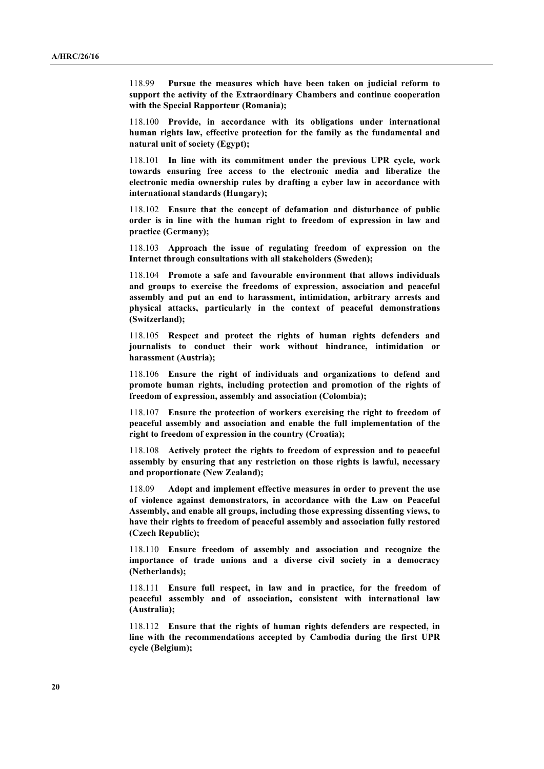118.99 **Pursue the measures which have been taken on judicial reform to support the activity of the Extraordinary Chambers and continue cooperation with the Special Rapporteur (Romania);**

118.100 **Provide, in accordance with its obligations under international human rights law, effective protection for the family as the fundamental and natural unit of society (Egypt);**

118.101 **In line with its commitment under the previous UPR cycle, work towards ensuring free access to the electronic media and liberalize the electronic media ownership rules by drafting a cyber law in accordance with international standards (Hungary);**

118.102 **Ensure that the concept of defamation and disturbance of public order is in line with the human right to freedom of expression in law and practice (Germany);**

118.103 **Approach the issue of regulating freedom of expression on the Internet through consultations with all stakeholders (Sweden);**

118.104 **Promote a safe and favourable environment that allows individuals and groups to exercise the freedoms of expression, association and peaceful assembly and put an end to harassment, intimidation, arbitrary arrests and physical attacks, particularly in the context of peaceful demonstrations (Switzerland);**

118.105 **Respect and protect the rights of human rights defenders and journalists to conduct their work without hindrance, intimidation or harassment (Austria);**

118.106 **Ensure the right of individuals and organizations to defend and promote human rights, including protection and promotion of the rights of freedom of expression, assembly and association (Colombia);**

118.107 **Ensure the protection of workers exercising the right to freedom of peaceful assembly and association and enable the full implementation of the right to freedom of expression in the country (Croatia);**

118.108 **Actively protect the rights to freedom of expression and to peaceful assembly by ensuring that any restriction on those rights is lawful, necessary and proportionate (New Zealand);**

118.09 **Adopt and implement effective measures in order to prevent the use of violence against demonstrators, in accordance with the Law on Peaceful Assembly, and enable all groups, including those expressing dissenting views, to have their rights to freedom of peaceful assembly and association fully restored (Czech Republic);**

118.110 **Ensure freedom of assembly and association and recognize the importance of trade unions and a diverse civil society in a democracy (Netherlands);**

118.111 **Ensure full respect, in law and in practice, for the freedom of peaceful assembly and of association, consistent with international law (Australia);**

118.112 **Ensure that the rights of human rights defenders are respected, in line with the recommendations accepted by Cambodia during the first UPR cycle (Belgium);**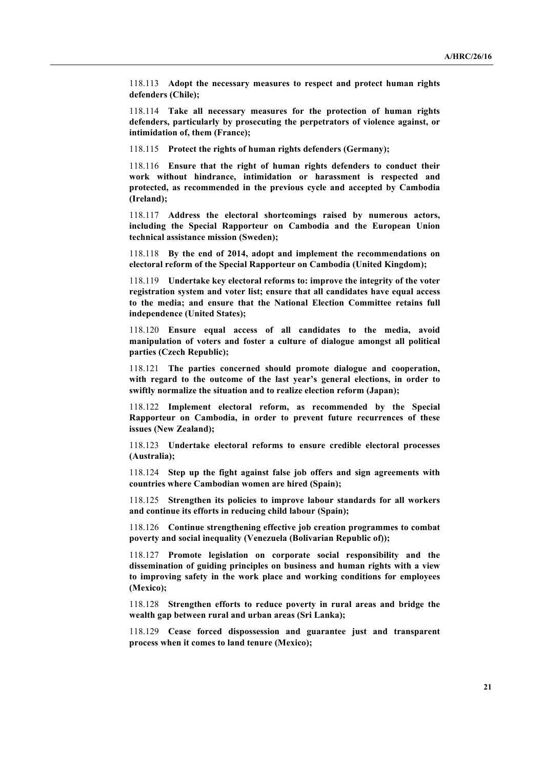118.113 **Adopt the necessary measures to respect and protect human rights defenders (Chile);**

118.114 **Take all necessary measures for the protection of human rights defenders, particularly by prosecuting the perpetrators of violence against, or intimidation of, them (France);**

118.115 **Protect the rights of human rights defenders (Germany);**

118.116 **Ensure that the right of human rights defenders to conduct their work without hindrance, intimidation or harassment is respected and protected, as recommended in the previous cycle and accepted by Cambodia (Ireland);**

118.117 **Address the electoral shortcomings raised by numerous actors, including the Special Rapporteur on Cambodia and the European Union technical assistance mission (Sweden);**

118.118 **By the end of 2014, adopt and implement the recommendations on electoral reform of the Special Rapporteur on Cambodia (United Kingdom);**

118.119 **Undertake key electoral reforms to: improve the integrity of the voter registration system and voter list; ensure that all candidates have equal access to the media; and ensure that the National Election Committee retains full independence (United States);**

118.120 **Ensure equal access of all candidates to the media, avoid manipulation of voters and foster a culture of dialogue amongst all political parties (Czech Republic);**

118.121 **The parties concerned should promote dialogue and cooperation, with regard to the outcome of the last year's general elections, in order to swiftly normalize the situation and to realize election reform (Japan);** 

118.122 **Implement electoral reform, as recommended by the Special Rapporteur on Cambodia, in order to prevent future recurrences of these issues (New Zealand);**

118.123 **Undertake electoral reforms to ensure credible electoral processes (Australia);**

118.124 **Step up the fight against false job offers and sign agreements with countries where Cambodian women are hired (Spain);**

118.125 **Strengthen its policies to improve labour standards for all workers and continue its efforts in reducing child labour (Spain);**

118.126 **Continue strengthening effective job creation programmes to combat poverty and social inequality (Venezuela (Bolivarian Republic of));**

118.127 **Promote legislation on corporate social responsibility and the dissemination of guiding principles on business and human rights with a view to improving safety in the work place and working conditions for employees (Mexico);**

118.128 **Strengthen efforts to reduce poverty in rural areas and bridge the wealth gap between rural and urban areas (Sri Lanka);**

118.129 **Cease forced dispossession and guarantee just and transparent process when it comes to land tenure (Mexico);**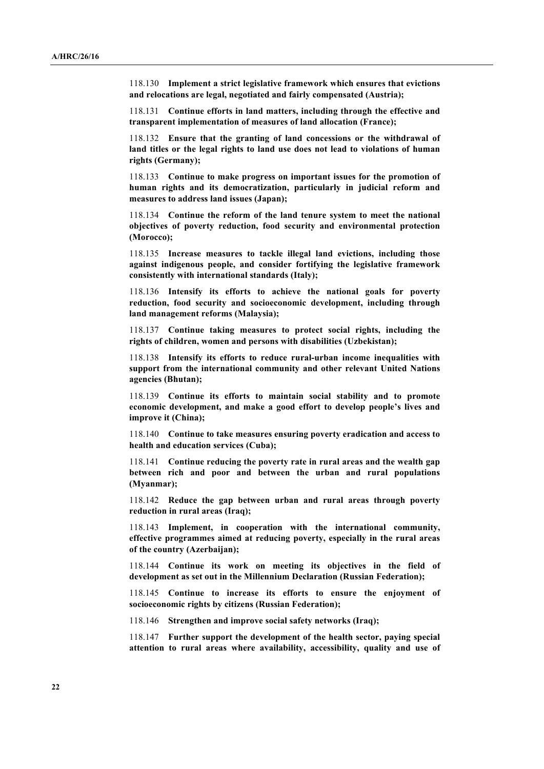118.130 **Implement a strict legislative framework which ensures that evictions and relocations are legal, negotiated and fairly compensated (Austria);**

118.131 **Continue efforts in land matters, including through the effective and transparent implementation of measures of land allocation (France);**

118.132 **Ensure that the granting of land concessions or the withdrawal of land titles or the legal rights to land use does not lead to violations of human rights (Germany);**

118.133 **Continue to make progress on important issues for the promotion of human rights and its democratization, particularly in judicial reform and measures to address land issues (Japan);**

118.134 **Continue the reform of the land tenure system to meet the national objectives of poverty reduction, food security and environmental protection (Morocco);**

118.135 **Increase measures to tackle illegal land evictions, including those against indigenous people, and consider fortifying the legislative framework consistently with international standards (Italy);**

118.136 **Intensify its efforts to achieve the national goals for poverty reduction, food security and socioeconomic development, including through land management reforms (Malaysia);**

118.137 **Continue taking measures to protect social rights, including the rights of children, women and persons with disabilities (Uzbekistan);**

118.138 **Intensify its efforts to reduce rural-urban income inequalities with support from the international community and other relevant United Nations agencies (Bhutan);**

118.139 **Continue its efforts to maintain social stability and to promote economic development, and make a good effort to develop people's lives and improve it (China);**

118.140 **Continue to take measures ensuring poverty eradication and access to health and education services (Cuba);**

118.141 **Continue reducing the poverty rate in rural areas and the wealth gap between rich and poor and between the urban and rural populations (Myanmar);**

118.142 **Reduce the gap between urban and rural areas through poverty reduction in rural areas (Iraq);**

118.143 **Implement, in cooperation with the international community, effective programmes aimed at reducing poverty, especially in the rural areas of the country (Azerbaijan);**

118.144 **Continue its work on meeting its objectives in the field of development as set out in the Millennium Declaration (Russian Federation);**

118.145 **Continue to increase its efforts to ensure the enjoyment of socioeconomic rights by citizens (Russian Federation);**

118.146 **Strengthen and improve social safety networks (Iraq);**

118.147 **Further support the development of the health sector, paying special attention to rural areas where availability, accessibility, quality and use of**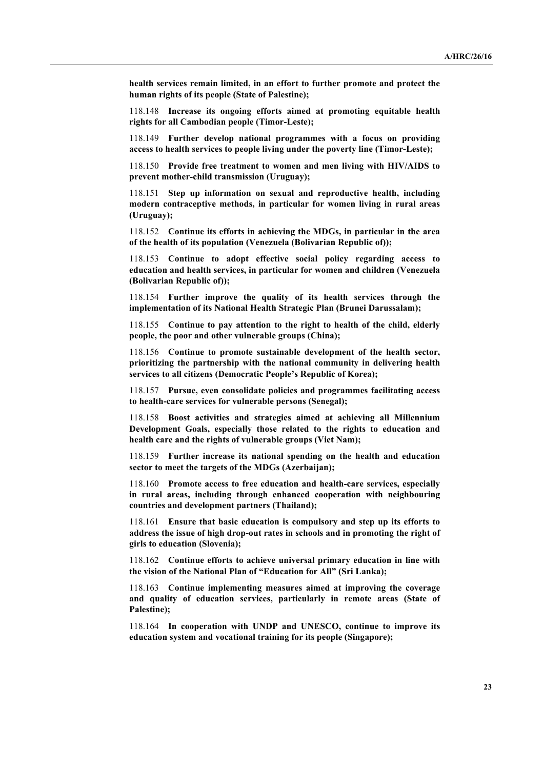**health services remain limited, in an effort to further promote and protect the human rights of its people (State of Palestine);**

118.148 **Increase its ongoing efforts aimed at promoting equitable health rights for all Cambodian people (Timor-Leste);**

118.149 **Further develop national programmes with a focus on providing access to health services to people living under the poverty line (Timor-Leste);**

118.150 **Provide free treatment to women and men living with HIV/AIDS to prevent mother-child transmission (Uruguay);**

118.151 **Step up information on sexual and reproductive health, including modern contraceptive methods, in particular for women living in rural areas (Uruguay);**

118.152 **Continue its efforts in achieving the MDGs, in particular in the area of the health of its population (Venezuela (Bolivarian Republic of));**

118.153 **Continue to adopt effective social policy regarding access to education and health services, in particular for women and children (Venezuela (Bolivarian Republic of));**

118.154 **Further improve the quality of its health services through the implementation of its National Health Strategic Plan (Brunei Darussalam);**

118.155 **Continue to pay attention to the right to health of the child, elderly people, the poor and other vulnerable groups (China);**

118.156 **Continue to promote sustainable development of the health sector, prioritizing the partnership with the national community in delivering health services to all citizens (Democratic People's Republic of Korea);**

118.157 **Pursue, even consolidate policies and programmes facilitating access to health-care services for vulnerable persons (Senegal);**

118.158 **Boost activities and strategies aimed at achieving all Millennium Development Goals, especially those related to the rights to education and health care and the rights of vulnerable groups (Viet Nam);**

118.159 **Further increase its national spending on the health and education sector to meet the targets of the MDGs (Azerbaijan);**

118.160 **Promote access to free education and health-care services, especially in rural areas, including through enhanced cooperation with neighbouring countries and development partners (Thailand);**

118.161 **Ensure that basic education is compulsory and step up its efforts to address the issue of high drop-out rates in schools and in promoting the right of girls to education (Slovenia);**

118.162 **Continue efforts to achieve universal primary education in line with the vision of the National Plan of "Education for All" (Sri Lanka);**

118.163 **Continue implementing measures aimed at improving the coverage and quality of education services, particularly in remote areas (State of Palestine);**

118.164 **In cooperation with UNDP and UNESCO, continue to improve its education system and vocational training for its people (Singapore);**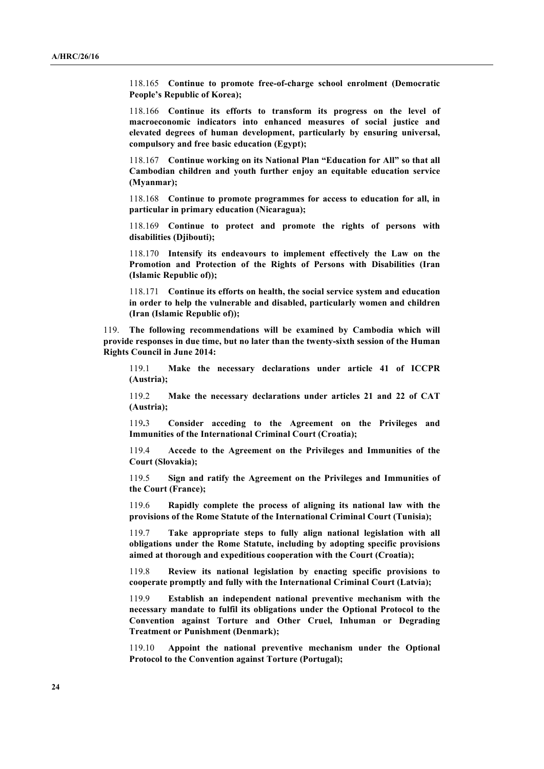118.165 **Continue to promote free-of-charge school enrolment (Democratic People's Republic of Korea);**

118.166 **Continue its efforts to transform its progress on the level of macroeconomic indicators into enhanced measures of social justice and elevated degrees of human development, particularly by ensuring universal, compulsory and free basic education (Egypt);**

118.167 **Continue working on its National Plan "Education for All" so that all Cambodian children and youth further enjoy an equitable education service (Myanmar);**

118.168 **Continue to promote programmes for access to education for all, in particular in primary education (Nicaragua);**

118.169 **Continue to protect and promote the rights of persons with disabilities (Djibouti);**

118.170 **Intensify its endeavours to implement effectively the Law on the Promotion and Protection of the Rights of Persons with Disabilities (Iran (Islamic Republic of));**

118.171 **Continue its efforts on health, the social service system and education in order to help the vulnerable and disabled, particularly women and children (Iran (Islamic Republic of));**

119. **The following recommendations will be examined by Cambodia which will provide responses in due time, but no later than the twenty-sixth session of the Human Rights Council in June 2014:**

119.1 **Make the necessary declarations under article 41 of ICCPR (Austria);**

119.2 **Make the necessary declarations under articles 21 and 22 of CAT (Austria);** 

119**.**3 **Consider acceding to the Agreement on the Privileges and Immunities of the International Criminal Court (Croatia);**

119.4 **Accede to the Agreement on the Privileges and Immunities of the Court (Slovakia);**

119.5 **Sign and ratify the Agreement on the Privileges and Immunities of the Court (France);**

119.6 **Rapidly complete the process of aligning its national law with the provisions of the Rome Statute of the International Criminal Court (Tunisia);**

119.7 **Take appropriate steps to fully align national legislation with all obligations under the Rome Statute, including by adopting specific provisions aimed at thorough and expeditious cooperation with the Court (Croatia);**

119.8 **Review its national legislation by enacting specific provisions to cooperate promptly and fully with the International Criminal Court (Latvia);**

119.9 **Establish an independent national preventive mechanism with the necessary mandate to fulfil its obligations under the Optional Protocol to the Convention against Torture and Other Cruel, Inhuman or Degrading Treatment or Punishment (Denmark);**

119.10 **Appoint the national preventive mechanism under the Optional Protocol to the Convention against Torture (Portugal);**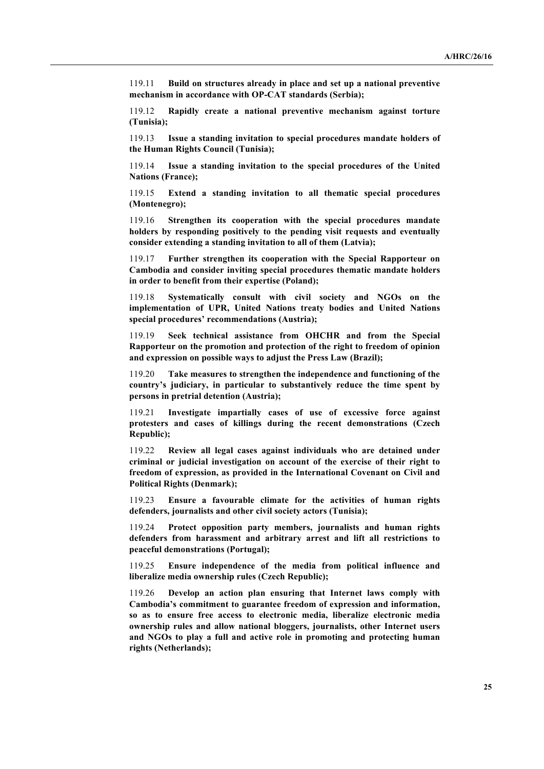119.11 **Build on structures already in place and set up a national preventive mechanism in accordance with OP-CAT standards (Serbia);**

119.12 **Rapidly create a national preventive mechanism against torture (Tunisia);**

119.13 **Issue a standing invitation to special procedures mandate holders of the Human Rights Council (Tunisia);**

119.14 **Issue a standing invitation to the special procedures of the United Nations (France);**

119.15 **Extend a standing invitation to all thematic special procedures (Montenegro);**

119.16 **Strengthen its cooperation with the special procedures mandate holders by responding positively to the pending visit requests and eventually consider extending a standing invitation to all of them (Latvia);**

119.17 **Further strengthen its cooperation with the Special Rapporteur on Cambodia and consider inviting special procedures thematic mandate holders in order to benefit from their expertise (Poland);**

119.18 **Systematically consult with civil society and NGOs on the implementation of UPR, United Nations treaty bodies and United Nations special procedures' recommendations (Austria);**

119.19 **Seek technical assistance from OHCHR and from the Special Rapporteur on the promotion and protection of the right to freedom of opinion and expression on possible ways to adjust the Press Law (Brazil);** 

119.20 **Take measures to strengthen the independence and functioning of the country's judiciary, in particular to substantively reduce the time spent by persons in pretrial detention (Austria);**

119.21 **Investigate impartially cases of use of excessive force against protesters and cases of killings during the recent demonstrations (Czech Republic);**

119.22 **Review all legal cases against individuals who are detained under criminal or judicial investigation on account of the exercise of their right to freedom of expression, as provided in the International Covenant on Civil and Political Rights (Denmark);**

119.23 **Ensure a favourable climate for the activities of human rights defenders, journalists and other civil society actors (Tunisia);**

119.24 **Protect opposition party members, journalists and human rights defenders from harassment and arbitrary arrest and lift all restrictions to peaceful demonstrations (Portugal);**

119.25 **Ensure independence of the media from political influence and liberalize media ownership rules (Czech Republic);**

119.26 **Develop an action plan ensuring that Internet laws comply with Cambodia's commitment to guarantee freedom of expression and information, so as to ensure free access to electronic media, liberalize electronic media ownership rules and allow national bloggers, journalists, other Internet users and NGOs to play a full and active role in promoting and protecting human rights (Netherlands);**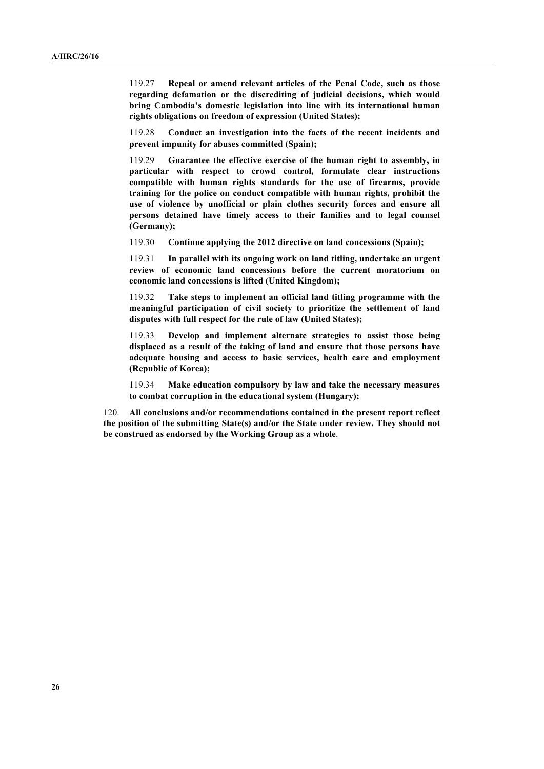119.27 **Repeal or amend relevant articles of the Penal Code, such as those regarding defamation or the discrediting of judicial decisions, which would bring Cambodia's domestic legislation into line with its international human rights obligations on freedom of expression (United States);**

119.28 **Conduct an investigation into the facts of the recent incidents and prevent impunity for abuses committed (Spain);**

119.29 **Guarantee the effective exercise of the human right to assembly, in particular with respect to crowd control, formulate clear instructions compatible with human rights standards for the use of firearms, provide training for the police on conduct compatible with human rights, prohibit the use of violence by unofficial or plain clothes security forces and ensure all persons detained have timely access to their families and to legal counsel (Germany);**

119.30 **Continue applying the 2012 directive on land concessions (Spain);**

119.31 **In parallel with its ongoing work on land titling, undertake an urgent review of economic land concessions before the current moratorium on economic land concessions is lifted (United Kingdom);**

119.32 **Take steps to implement an official land titling programme with the meaningful participation of civil society to prioritize the settlement of land disputes with full respect for the rule of law (United States);**

119.33 **Develop and implement alternate strategies to assist those being displaced as a result of the taking of land and ensure that those persons have adequate housing and access to basic services, health care and employment (Republic of Korea);**

119.34 **Make education compulsory by law and take the necessary measures to combat corruption in the educational system (Hungary);**

120. **All conclusions and/or recommendations contained in the present report reflect the position of the submitting State(s) and/or the State under review. They should not be construed as endorsed by the Working Group as a whole**.